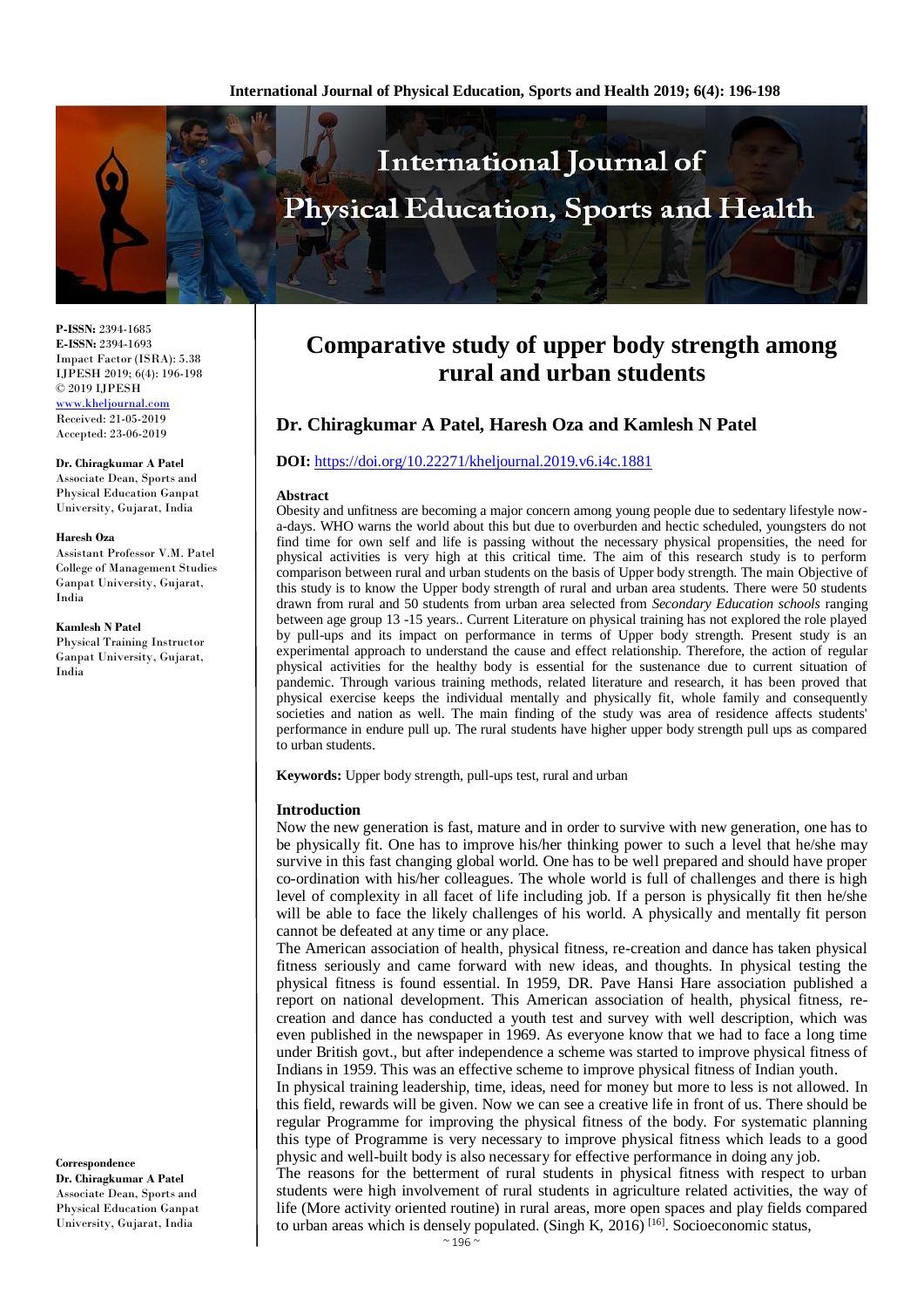

**P-ISSN:** 2394-1685 **E-ISSN:** 2394-1693 Impact Factor (ISRA): 5.38 IJPESH 2019; 6(4): 196-198 © 2019 IJPESH [www.kheljournal.com](http://www.kheljournal.com/) Received: 21-05-2019 Accepted: 23-06-2019

**Dr. Chiragkumar A Patel**

Associate Dean, Sports and Physical Education Ganpat University, Gujarat, India

#### **Haresh Oza**

Assistant Professor V.M. Patel College of Management Studies Ganpat University, Gujarat, India

#### **Kamlesh N Patel**

Physical Training Instructor Ganpat University, Gujarat, India

**Correspondence Dr. Chiragkumar A Patel** Associate Dean, Sports and Physical Education Ganpat University, Gujarat, India

# **Comparative study of upper body strength among rural and urban students**

# **Dr. Chiragkumar A Patel, Haresh Oza and Kamlesh N Patel**

#### **DOI:** <https://doi.org/10.22271/kheljournal.2019.v6.i4c.1881>

#### **Abstract**

Obesity and unfitness are becoming a major concern among young people due to sedentary lifestyle nowa-days. WHO warns the world about this but due to overburden and hectic scheduled, youngsters do not find time for own self and life is passing without the necessary physical propensities, the need for physical activities is very high at this critical time. The aim of this research study is to perform comparison between rural and urban students on the basis of Upper body strength. The main Objective of this study is to know the Upper body strength of rural and urban area students. There were 50 students drawn from rural and 50 students from urban area selected from *Secondary Education schools* ranging between age group 13 -15 years.. Current Literature on physical training has not explored the role played by pull-ups and its impact on performance in terms of Upper body strength. Present study is an experimental approach to understand the cause and effect relationship. Therefore, the action of regular physical activities for the healthy body is essential for the sustenance due to current situation of pandemic. Through various training methods, related literature and research, it has been proved that physical exercise keeps the individual mentally and physically fit, whole family and consequently societies and nation as well. The main finding of the study was area of residence affects students' performance in endure pull up. The rural students have higher upper body strength pull ups as compared to urban students.

**Keywords:** Upper body strength, pull-ups test, rural and urban

#### **Introduction**

Now the new generation is fast, mature and in order to survive with new generation, one has to be physically fit. One has to improve his/her thinking power to such a level that he/she may survive in this fast changing global world. One has to be well prepared and should have proper co-ordination with his/her colleagues. The whole world is full of challenges and there is high level of complexity in all facet of life including job. If a person is physically fit then he/she will be able to face the likely challenges of his world. A physically and mentally fit person cannot be defeated at any time or any place.

The American association of health, physical fitness, re-creation and dance has taken physical fitness seriously and came forward with new ideas, and thoughts. In physical testing the physical fitness is found essential. In 1959, DR. Pave Hansi Hare association published a report on national development. This American association of health, physical fitness, recreation and dance has conducted a youth test and survey with well description, which was even published in the newspaper in 1969. As everyone know that we had to face a long time under British govt., but after independence a scheme was started to improve physical fitness of Indians in 1959. This was an effective scheme to improve physical fitness of Indian youth.

In physical training leadership, time, ideas, need for money but more to less is not allowed. In this field, rewards will be given. Now we can see a creative life in front of us. There should be regular Programme for improving the physical fitness of the body. For systematic planning this type of Programme is very necessary to improve physical fitness which leads to a good physic and well-built body is also necessary for effective performance in doing any job.

The reasons for the betterment of rural students in physical fitness with respect to urban students were high involvement of rural students in agriculture related activities, the way of life (More activity oriented routine) in rural areas, more open spaces and play fields compared to urban areas which is densely populated. (Singh K,  $2016$ ) [16]. Socioeconomic status,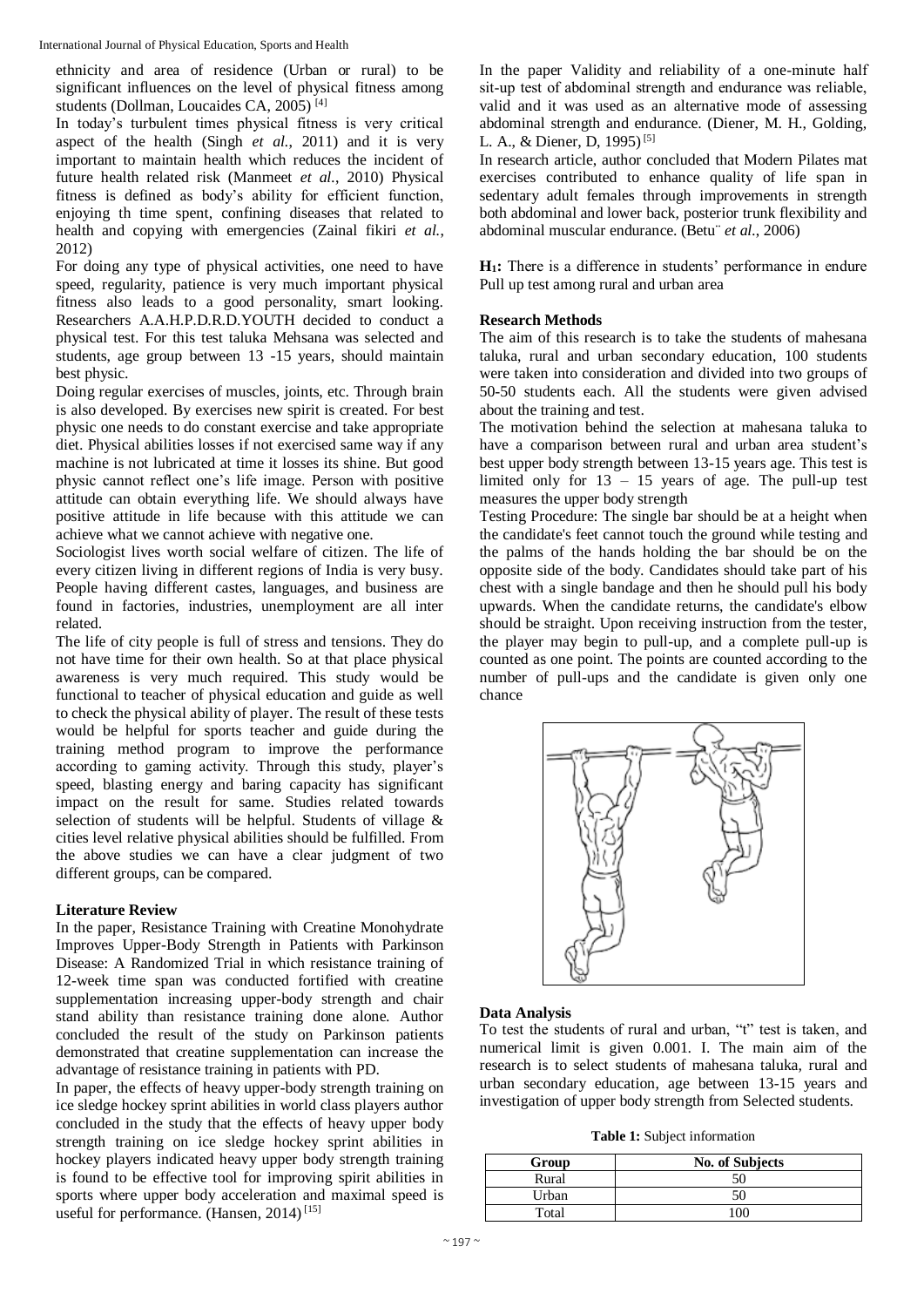ethnicity and area of residence (Urban or rural) to be significant influences on the level of physical fitness among students (Dollman, Loucaides CA, 2005)<sup>[4]</sup>

In today's turbulent times physical fitness is very critical aspect of the health (Singh *et al.*, 2011) and it is very important to maintain health which reduces the incident of future health related risk (Manmeet *et al.*, 2010) Physical fitness is defined as body's ability for efficient function, enjoying th time spent, confining diseases that related to health and copying with emergencies (Zainal fikiri *et al.*, 2012)

For doing any type of physical activities, one need to have speed, regularity, patience is very much important physical fitness also leads to a good personality, smart looking. Researchers A.A.H.P.D.R.D.YOUTH decided to conduct a physical test. For this test taluka Mehsana was selected and students, age group between 13 -15 years, should maintain best physic.

Doing regular exercises of muscles, joints, etc. Through brain is also developed. By exercises new spirit is created. For best physic one needs to do constant exercise and take appropriate diet. Physical abilities losses if not exercised same way if any machine is not lubricated at time it losses its shine. But good physic cannot reflect one's life image. Person with positive attitude can obtain everything life. We should always have positive attitude in life because with this attitude we can achieve what we cannot achieve with negative one.

Sociologist lives worth social welfare of citizen. The life of every citizen living in different regions of India is very busy. People having different castes, languages, and business are found in factories, industries, unemployment are all inter related.

The life of city people is full of stress and tensions. They do not have time for their own health. So at that place physical awareness is very much required. This study would be functional to teacher of physical education and guide as well to check the physical ability of player. The result of these tests would be helpful for sports teacher and guide during the training method program to improve the performance according to gaming activity. Through this study, player's speed, blasting energy and baring capacity has significant impact on the result for same. Studies related towards selection of students will be helpful. Students of village & cities level relative physical abilities should be fulfilled. From the above studies we can have a clear judgment of two different groups, can be compared.

#### **Literature Review**

In the paper, Resistance Training with Creatine Monohydrate Improves Upper-Body Strength in Patients with Parkinson Disease: A Randomized Trial in which resistance training of 12-week time span was conducted fortified with creatine supplementation increasing upper-body strength and chair stand ability than resistance training done alone. Author concluded the result of the study on Parkinson patients demonstrated that creatine supplementation can increase the advantage of resistance training in patients with PD.

In paper, the effects of heavy upper-body strength training on ice sledge hockey sprint abilities in world class players author concluded in the study that the effects of heavy upper body strength training on ice sledge hockey sprint abilities in hockey players indicated heavy upper body strength training is found to be effective tool for improving spirit abilities in sports where upper body acceleration and maximal speed is useful for performance. (Hansen,  $2014$ )<sup>[15]</sup>

In the paper Validity and reliability of a one-minute half sit‐up test of abdominal strength and endurance was reliable, valid and it was used as an alternative mode of assessing abdominal strength and endurance. (Diener, M. H., Golding, L. A., & Diener, D, 1995)<sup>[5]</sup>

In research article, author concluded that Modern Pilates mat exercises contributed to enhance quality of life span in sedentary adult females through improvements in strength both abdominal and lower back, posterior trunk flexibility and abdominal muscular endurance. (Betu¨ *et al.*, 2006)

**H1:** There is a difference in students' performance in endure Pull up test among rural and urban area

### **Research Methods**

The aim of this research is to take the students of mahesana taluka, rural and urban secondary education, 100 students were taken into consideration and divided into two groups of 50-50 students each. All the students were given advised about the training and test.

The motivation behind the selection at mahesana taluka to have a comparison between rural and urban area student's best upper body strength between 13-15 years age. This test is limited only for  $13 - 15$  years of age. The pull-up test measures the upper body strength

Testing Procedure: The single bar should be at a height when the candidate's feet cannot touch the ground while testing and the palms of the hands holding the bar should be on the opposite side of the body. Candidates should take part of his chest with a single bandage and then he should pull his body upwards. When the candidate returns, the candidate's elbow should be straight. Upon receiving instruction from the tester, the player may begin to pull-up, and a complete pull-up is counted as one point. The points are counted according to the number of pull-ups and the candidate is given only one chance



### **Data Analysis**

To test the students of rural and urban, "t" test is taken, and numerical limit is given 0.001. I. The main aim of the research is to select students of mahesana taluka, rural and urban secondary education, age between 13-15 years and investigation of upper body strength from Selected students.

**Table 1:** Subject information

| Group | No. of Subjects |  |
|-------|-----------------|--|
| Rural | 50              |  |
| Urban | 50              |  |
| Total | Ωſ              |  |